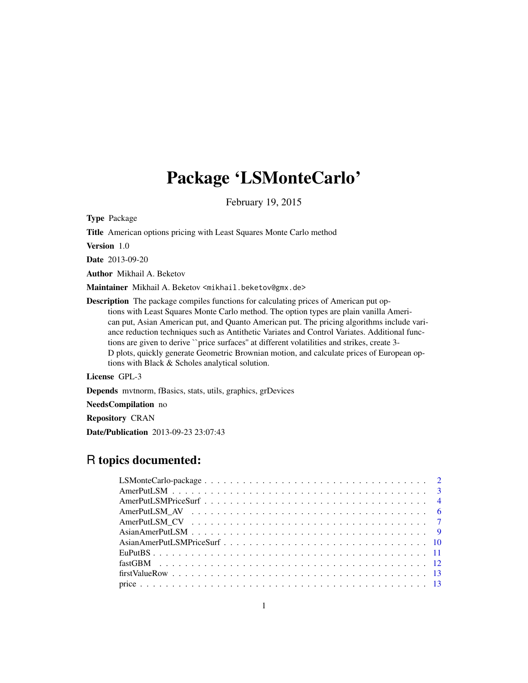## Package 'LSMonteCarlo'

February 19, 2015

Type Package

Title American options pricing with Least Squares Monte Carlo method

Version 1.0

Date 2013-09-20

Author Mikhail A. Beketov

Maintainer Mikhail A. Beketov <mikhail.beketov@gmx.de>

Description The package compiles functions for calculating prices of American put options with Least Squares Monte Carlo method. The option types are plain vanilla American put, Asian American put, and Quanto American put. The pricing algorithms include variance reduction techniques such as Antithetic Variates and Control Variates. Additional functions are given to derive ``price surfaces'' at different volatilities and strikes, create 3- D plots, quickly generate Geometric Brownian motion, and calculate prices of European options with Black & Scholes analytical solution.

License GPL-3

Depends mvtnorm, fBasics, stats, utils, graphics, grDevices

NeedsCompilation no

Repository CRAN

Date/Publication 2013-09-23 23:07:43

## R topics documented: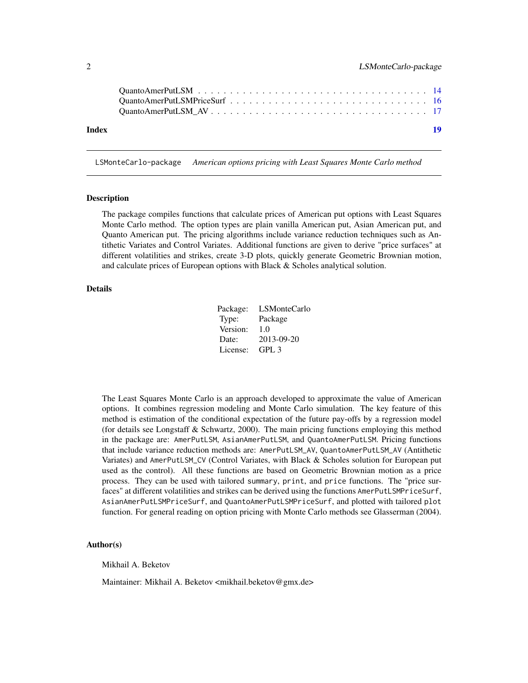<span id="page-1-0"></span>

| Index |  |  |  |  |  |  |  |  |  |  |  |  | 19 |
|-------|--|--|--|--|--|--|--|--|--|--|--|--|----|

LSMonteCarlo-package *American options pricing with Least Squares Monte Carlo method*

#### Description

The package compiles functions that calculate prices of American put options with Least Squares Monte Carlo method. The option types are plain vanilla American put, Asian American put, and Quanto American put. The pricing algorithms include variance reduction techniques such as Antithetic Variates and Control Variates. Additional functions are given to derive "price surfaces" at different volatilities and strikes, create 3-D plots, quickly generate Geometric Brownian motion, and calculate prices of European options with Black & Scholes analytical solution.

#### Details

| Package: | LSMonteCarlo |
|----------|--------------|
| Type:    | Package      |
| Version: | 1.0          |
| Date:    | 2013-09-20   |
| License: | GPL3         |

The Least Squares Monte Carlo is an approach developed to approximate the value of American options. It combines regression modeling and Monte Carlo simulation. The key feature of this method is estimation of the conditional expectation of the future pay-offs by a regression model (for details see Longstaff & Schwartz, 2000). The main pricing functions employing this method in the package are: AmerPutLSM, AsianAmerPutLSM, and QuantoAmerPutLSM. Pricing functions that include variance reduction methods are: AmerPutLSM\_AV, QuantoAmerPutLSM\_AV (Antithetic Variates) and AmerPutLSM\_CV (Control Variates, with Black & Scholes solution for European put used as the control). All these functions are based on Geometric Brownian motion as a price process. They can be used with tailored summary, print, and price functions. The "price surfaces" at different volatilities and strikes can be derived using the functions AmerPutLSMPriceSurf, AsianAmerPutLSMPriceSurf, and QuantoAmerPutLSMPriceSurf, and plotted with tailored plot function. For general reading on option pricing with Monte Carlo methods see Glasserman (2004).

#### Author(s)

Mikhail A. Beketov

Maintainer: Mikhail A. Beketov <mikhail.beketov@gmx.de>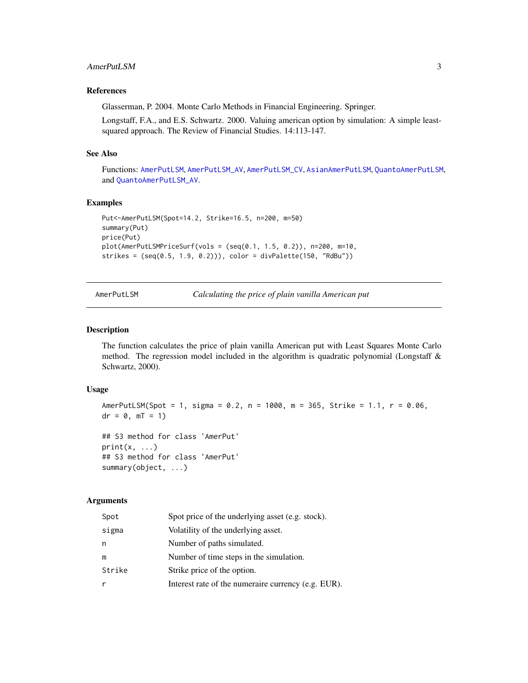## <span id="page-2-0"></span>AmerPutLSM 3

## References

Glasserman, P. 2004. Monte Carlo Methods in Financial Engineering. Springer.

Longstaff, F.A., and E.S. Schwartz. 2000. Valuing american option by simulation: A simple leastsquared approach. The Review of Financial Studies. 14:113-147.

## See Also

Functions: [AmerPutLSM](#page-2-1), [AmerPutLSM\\_AV](#page-5-1), [AmerPutLSM\\_CV](#page-6-1), [AsianAmerPutLSM](#page-8-1), [QuantoAmerPutLSM](#page-13-1), and [QuantoAmerPutLSM\\_AV](#page-16-1).

#### Examples

```
Put<-AmerPutLSM(Spot=14.2, Strike=16.5, n=200, m=50)
summary(Put)
price(Put)
plot(AmerPutLSMPriceSurf(vols = (seq(0.1, 1.5, 0.2)), n=200, m=10,
strikes = (seq(0.5, 1.9, 0.2))), color = divPalette(150, "RdBu"))
```
AmerPutLSM *Calculating the price of plain vanilla American put*

#### Description

The function calculates the price of plain vanilla American put with Least Squares Monte Carlo method. The regression model included in the algorithm is quadratic polynomial (Longstaff  $\&$ Schwartz, 2000).

#### Usage

AmerPutLSM(Spot = 1, sigma = 0.2, n = 1000, m = 365, Strike = 1.1, r = 0.06,  $dr = 0, mT = 1)$ ## S3 method for class 'AmerPut'  $print(x, \ldots)$ 

```
## S3 method for class 'AmerPut'
summary(object, ...)
```

| Spot   | Spot price of the underlying asset (e.g. stock).    |
|--------|-----------------------------------------------------|
| sigma  | Volatility of the underlying asset.                 |
| n      | Number of paths simulated.                          |
| m      | Number of time steps in the simulation.             |
| Strike | Strike price of the option.                         |
| r      | Interest rate of the numeraire currency (e.g. EUR). |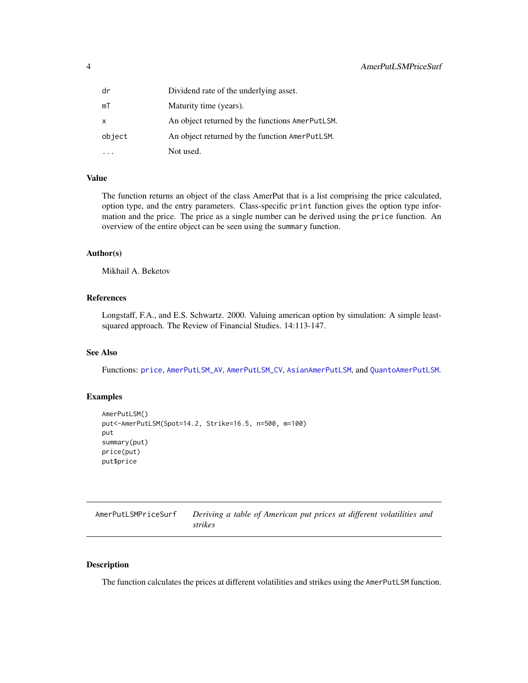<span id="page-3-0"></span>

| dr     | Dividend rate of the underlying asset.          |
|--------|-------------------------------------------------|
| mT     | Maturity time (years).                          |
| x      | An object returned by the functions AmerPutLSM. |
| object | An object returned by the function AmerPutLSM.  |
|        | Not used.                                       |

## Value

The function returns an object of the class AmerPut that is a list comprising the price calculated, option type, and the entry parameters. Class-specific print function gives the option type information and the price. The price as a single number can be derived using the price function. An overview of the entire object can be seen using the summary function.

## Author(s)

Mikhail A. Beketov

## References

Longstaff, F.A., and E.S. Schwartz. 2000. Valuing american option by simulation: A simple leastsquared approach. The Review of Financial Studies. 14:113-147.

## See Also

Functions: [price](#page-12-1), [AmerPutLSM\\_AV](#page-5-1), [AmerPutLSM\\_CV](#page-6-1), [AsianAmerPutLSM](#page-8-1), and [QuantoAmerPutLSM](#page-13-1).

## Examples

```
AmerPutLSM()
put<-AmerPutLSM(Spot=14.2, Strike=16.5, n=500, m=100)
put
summary(put)
price(put)
put$price
```
<span id="page-3-2"></span>

| AmerPutLSMPriceSurf | Deriving a table of American put prices at different volatilities and |
|---------------------|-----------------------------------------------------------------------|
|                     | strikes                                                               |

## <span id="page-3-1"></span>Description

The function calculates the prices at different volatilities and strikes using the AmerPutLSM function.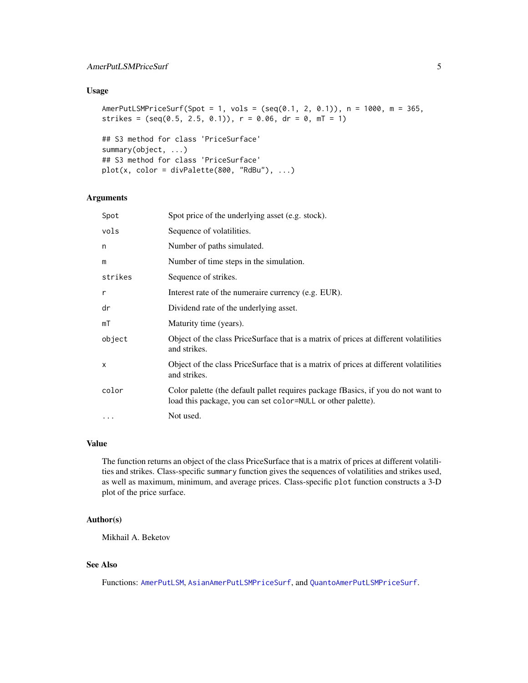## <span id="page-4-0"></span>AmerPutLSMPriceSurf 5

## Usage

AmerPutLSMPriceSurf(Spot = 1, vols = (seq(0.1, 2, 0.1)), n = 1000, m = 365, strikes =  $(\text{seq}(0.5, 2.5, 0.1))$ ,  $r = 0.06$ ,  $dr = 0$ ,  $mT = 1)$ 

```
## S3 method for class 'PriceSurface'
summary(object, ...)
## S3 method for class 'PriceSurface'
plot(x, color = divPalette(800, "RdBu"), ...)
```
#### Arguments

| Spot     | Spot price of the underlying asset (e.g. stock).                                                                                                  |
|----------|---------------------------------------------------------------------------------------------------------------------------------------------------|
| vols     | Sequence of volatilities.                                                                                                                         |
| n        | Number of paths simulated.                                                                                                                        |
| m        | Number of time steps in the simulation.                                                                                                           |
| strikes  | Sequence of strikes.                                                                                                                              |
| r        | Interest rate of the numeraire currency (e.g. EUR).                                                                                               |
| dr       | Dividend rate of the underlying asset.                                                                                                            |
| mT       | Maturity time (years).                                                                                                                            |
| object   | Object of the class PriceSurface that is a matrix of prices at different volatilities<br>and strikes.                                             |
| X        | Object of the class PriceSurface that is a matrix of prices at different volatilities<br>and strikes.                                             |
| color    | Color palette (the default pallet requires package fBasics, if you do not want to<br>load this package, you can set color=NULL or other palette). |
| $\cdots$ | Not used.                                                                                                                                         |
|          |                                                                                                                                                   |

## Value

The function returns an object of the class PriceSurface that is a matrix of prices at different volatilities and strikes. Class-specific summary function gives the sequences of volatilities and strikes used, as well as maximum, minimum, and average prices. Class-specific plot function constructs a 3-D plot of the price surface.

#### Author(s)

Mikhail A. Beketov

## See Also

Functions: [AmerPutLSM](#page-2-1), [AsianAmerPutLSMPriceSurf](#page-9-1), and [QuantoAmerPutLSMPriceSurf](#page-15-1).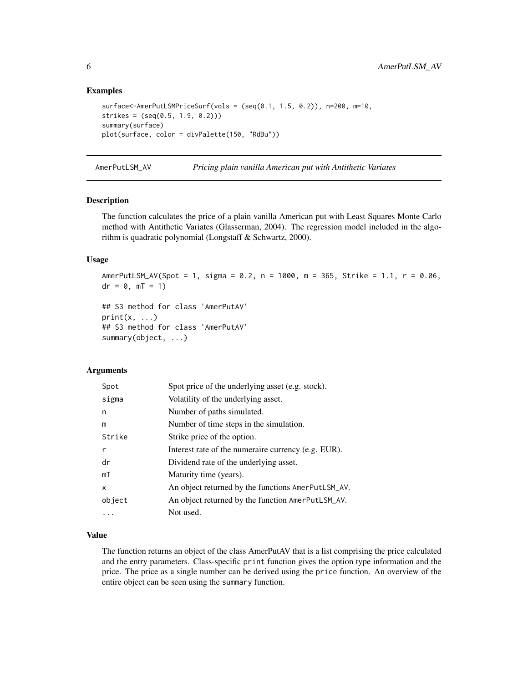#### Examples

```
surface<-AmerPutLSMPriceSurf(vols = (seq(0.1, 1.5, 0.2)), n=200, m=10,
strikes = (seq(0.5, 1.9, 0.2)))
summary(surface)
plot(surface, color = divPalette(150, "RdBu"))
```
<span id="page-5-1"></span>AmerPutLSM\_AV *Pricing plain vanilla American put with Antithetic Variates*

#### **Description**

The function calculates the price of a plain vanilla American put with Least Squares Monte Carlo method with Antithetic Variates (Glasserman, 2004). The regression model included in the algorithm is quadratic polynomial (Longstaff & Schwartz, 2000).

## Usage

AmerPutLSM\_AV(Spot = 1, sigma = 0.2, n = 1000, m = 365, Strike = 1.1, r = 0.06,  $dr = 0$ ,  $mT = 1$ )

```
## S3 method for class 'AmerPutAV'
print(x, \ldots)## S3 method for class 'AmerPutAV'
summary(object, ...)
```
#### Arguments

| Spot   | Spot price of the underlying asset (e.g. stock).    |
|--------|-----------------------------------------------------|
| sigma  | Volatility of the underlying asset.                 |
| n      | Number of paths simulated.                          |
| m      | Number of time steps in the simulation.             |
| Strike | Strike price of the option.                         |
| r      | Interest rate of the numeraire currency (e.g. EUR). |
| dr     | Dividend rate of the underlying asset.              |
| mT     | Maturity time (years).                              |
| x      | An object returned by the functions AmerPutLSM_AV.  |
| object | An object returned by the function AmerPutLSM_AV.   |
| .      | Not used.                                           |

#### Value

The function returns an object of the class AmerPutAV that is a list comprising the price calculated and the entry parameters. Class-specific print function gives the option type information and the price. The price as a single number can be derived using the price function. An overview of the entire object can be seen using the summary function.

<span id="page-5-0"></span>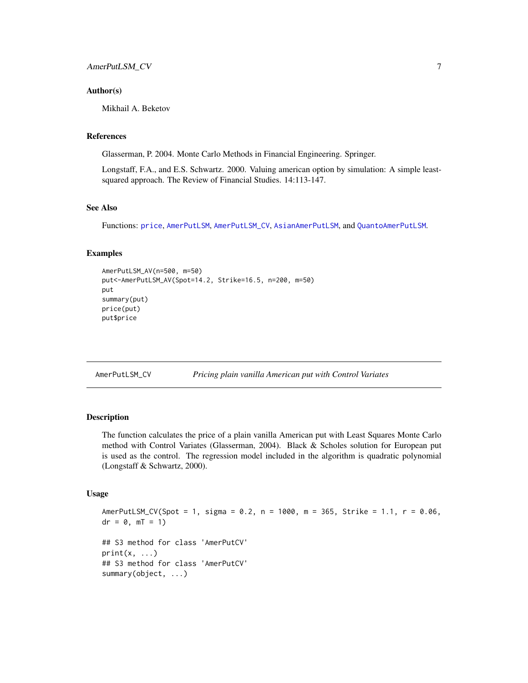#### <span id="page-6-0"></span>Author(s)

Mikhail A. Beketov

#### References

Glasserman, P. 2004. Monte Carlo Methods in Financial Engineering. Springer.

Longstaff, F.A., and E.S. Schwartz. 2000. Valuing american option by simulation: A simple leastsquared approach. The Review of Financial Studies. 14:113-147.

## See Also

Functions: [price](#page-12-1), [AmerPutLSM](#page-2-1), [AmerPutLSM\\_CV](#page-6-1), [AsianAmerPutLSM](#page-8-1), and [QuantoAmerPutLSM](#page-13-1).

#### Examples

```
AmerPutLSM_AV(n=500, m=50)
put<-AmerPutLSM_AV(Spot=14.2, Strike=16.5, n=200, m=50)
put
summary(put)
price(put)
put$price
```
<span id="page-6-1"></span>

| AmerPutLSM_CV |  | Pricing plain vanilla American put with Control Variates |  |  |
|---------------|--|----------------------------------------------------------|--|--|
|               |  |                                                          |  |  |

## Description

The function calculates the price of a plain vanilla American put with Least Squares Monte Carlo method with Control Variates (Glasserman, 2004). Black & Scholes solution for European put is used as the control. The regression model included in the algorithm is quadratic polynomial (Longstaff & Schwartz, 2000).

#### Usage

```
AmerPutLSM_CV(Spot = 1, sigma = 0.2, n = 1000, m = 365, Strike = 1.1, r = 0.06,
dr = 0, mT = 1)## S3 method for class 'AmerPutCV'
print(x, \ldots)## S3 method for class 'AmerPutCV'
summary(object, ...)
```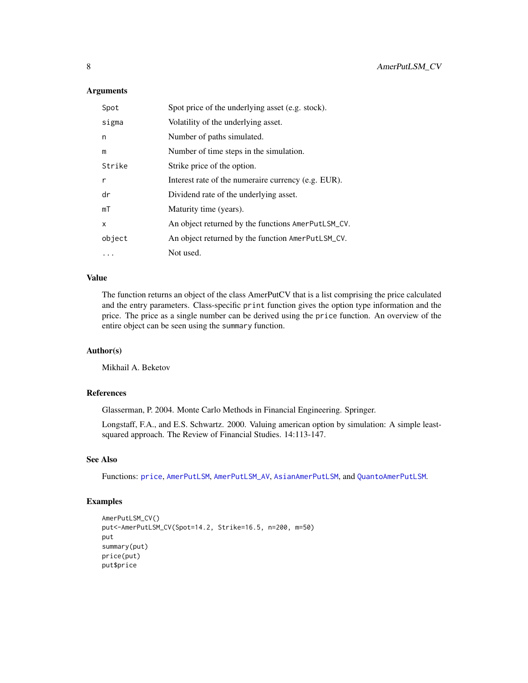#### <span id="page-7-0"></span>Arguments

| Spot   | Spot price of the underlying asset (e.g. stock).    |
|--------|-----------------------------------------------------|
| sigma  | Volatility of the underlying asset.                 |
| n      | Number of paths simulated.                          |
| m      | Number of time steps in the simulation.             |
| Strike | Strike price of the option.                         |
| r      | Interest rate of the numeraire currency (e.g. EUR). |
| dr     | Dividend rate of the underlying asset.              |
| mT     | Maturity time (years).                              |
| X      | An object returned by the functions AmerPutLSM_CV.  |
| object | An object returned by the function AmerPutLSM_CV.   |
| .      | Not used.                                           |

#### Value

The function returns an object of the class AmerPutCV that is a list comprising the price calculated and the entry parameters. Class-specific print function gives the option type information and the price. The price as a single number can be derived using the price function. An overview of the entire object can be seen using the summary function.

## Author(s)

Mikhail A. Beketov

## References

Glasserman, P. 2004. Monte Carlo Methods in Financial Engineering. Springer.

Longstaff, F.A., and E.S. Schwartz. 2000. Valuing american option by simulation: A simple leastsquared approach. The Review of Financial Studies. 14:113-147.

## See Also

Functions: [price](#page-12-1), [AmerPutLSM](#page-2-1), [AmerPutLSM\\_AV](#page-5-1), [AsianAmerPutLSM](#page-8-1), and [QuantoAmerPutLSM](#page-13-1).

```
AmerPutLSM_CV()
put<-AmerPutLSM_CV(Spot=14.2, Strike=16.5, n=200, m=50)
put
summary(put)
price(put)
put$price
```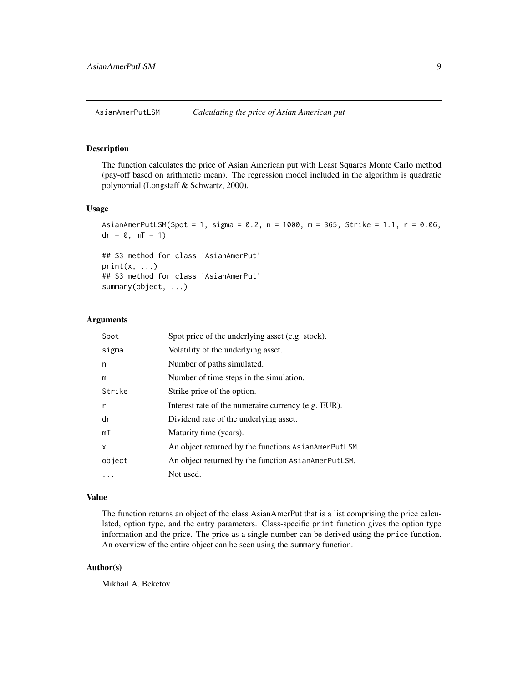<span id="page-8-1"></span><span id="page-8-0"></span>

#### Description

The function calculates the price of Asian American put with Least Squares Monte Carlo method (pay-off based on arithmetic mean). The regression model included in the algorithm is quadratic polynomial (Longstaff & Schwartz, 2000).

#### Usage

```
AsianAmerPutLSM(Spot = 1, sigma = 0.2, n = 1000, m = 365, Strike = 1.1, r = 0.06,
dr = 0, mT = 1)
```

```
## S3 method for class 'AsianAmerPut'
print(x, \ldots)## S3 method for class 'AsianAmerPut'
summary(object, ...)
```
#### Arguments

| Spot         | Spot price of the underlying asset (e.g. stock).     |
|--------------|------------------------------------------------------|
| sigma        | Volatility of the underlying asset.                  |
| n            | Number of paths simulated.                           |
| m            | Number of time steps in the simulation.              |
| Strike       | Strike price of the option.                          |
| $\mathsf{r}$ | Interest rate of the numeraire currency (e.g. EUR).  |
| dr           | Dividend rate of the underlying asset.               |
| mT           | Maturity time (years).                               |
| X            | An object returned by the functions AsianAmerPutLSM. |
| object       | An object returned by the function AsianAmerPutLSM.  |
| .            | Not used.                                            |

#### Value

The function returns an object of the class AsianAmerPut that is a list comprising the price calculated, option type, and the entry parameters. Class-specific print function gives the option type information and the price. The price as a single number can be derived using the price function. An overview of the entire object can be seen using the summary function.

## Author(s)

Mikhail A. Beketov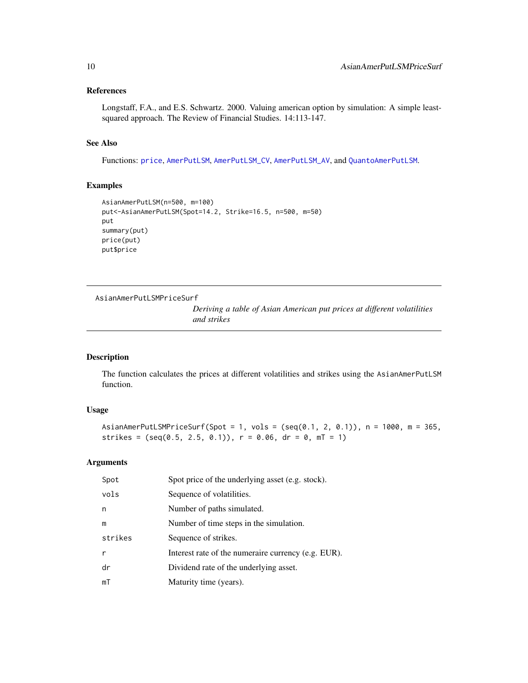## <span id="page-9-0"></span>References

Longstaff, F.A., and E.S. Schwartz. 2000. Valuing american option by simulation: A simple leastsquared approach. The Review of Financial Studies. 14:113-147.

## See Also

Functions: [price](#page-12-1), [AmerPutLSM](#page-2-1), [AmerPutLSM\\_CV](#page-6-1), [AmerPutLSM\\_AV](#page-5-1), and [QuantoAmerPutLSM](#page-13-1).

## Examples

```
AsianAmerPutLSM(n=500, m=100)
put<-AsianAmerPutLSM(Spot=14.2, Strike=16.5, n=500, m=50)
put
summary(put)
price(put)
put$price
```

```
AsianAmerPutLSMPriceSurf
```
*Deriving a table of Asian American put prices at different volatilities and strikes*

## Description

The function calculates the prices at different volatilities and strikes using the AsianAmerPutLSM function.

## Usage

AsianAmerPutLSMPriceSurf(Spot = 1, vols = (seq(0.1, 2, 0.1)), n = 1000, m = 365, strikes =  $(\text{seq}(0.5, 2.5, 0.1))$ ,  $r = 0.06$ ,  $dr = 0$ ,  $mT = 1)$ 

| Spot    | Spot price of the underlying asset (e.g. stock).    |
|---------|-----------------------------------------------------|
| vols    | Sequence of volatilities.                           |
| n       | Number of paths simulated.                          |
| m       | Number of time steps in the simulation.             |
| strikes | Sequence of strikes.                                |
| r       | Interest rate of the numeraire currency (e.g. EUR). |
| dr      | Dividend rate of the underlying asset.              |
| mT      | Maturity time (years).                              |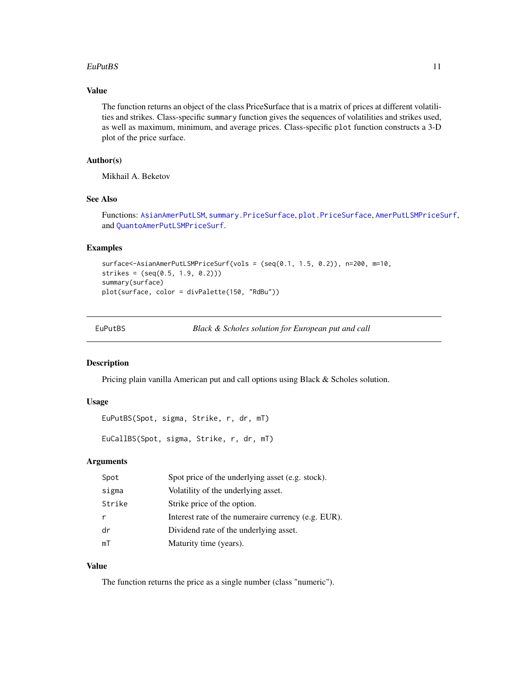#### <span id="page-10-0"></span> $EuPutBS$  11

## Value

The function returns an object of the class PriceSurface that is a matrix of prices at different volatilities and strikes. Class-specific summary function gives the sequences of volatilities and strikes used, as well as maximum, minimum, and average prices. Class-specific plot function constructs a 3-D plot of the price surface.

## Author(s)

Mikhail A. Beketov

## See Also

Functions: [AsianAmerPutLSM](#page-8-1), [summary.PriceSurface](#page-3-1), [plot.PriceSurface](#page-3-1), [AmerPutLSMPriceSurf](#page-3-2), and [QuantoAmerPutLSMPriceSurf](#page-15-1).

## Examples

```
surface<-AsianAmerPutLSMPriceSurf(vols = (seq(0.1, 1.5, 0.2)), n=200, m=10,
strikes = (seq(0.5, 1.9, 0.2)))summary(surface)
plot(surface, color = divPalette(150, "RdBu"))
```

| EuPutBS |  |
|---------|--|
|---------|--|

Black & Scholes solution for European put and call

#### Description

Pricing plain vanilla American put and call options using Black & Scholes solution.

## Usage

EuPutBS(Spot, sigma, Strike, r, dr, mT)

EuCallBS(Spot, sigma, Strike, r, dr, mT)

## Arguments

| Spot   | Spot price of the underlying asset (e.g. stock).    |
|--------|-----------------------------------------------------|
| sigma  | Volatility of the underlying asset.                 |
| Strike | Strike price of the option.                         |
|        | Interest rate of the numeraire currency (e.g. EUR). |
| dr     | Dividend rate of the underlying asset.              |
| mT     | Maturity time (years).                              |

## Value

The function returns the price as a single number (class "numeric").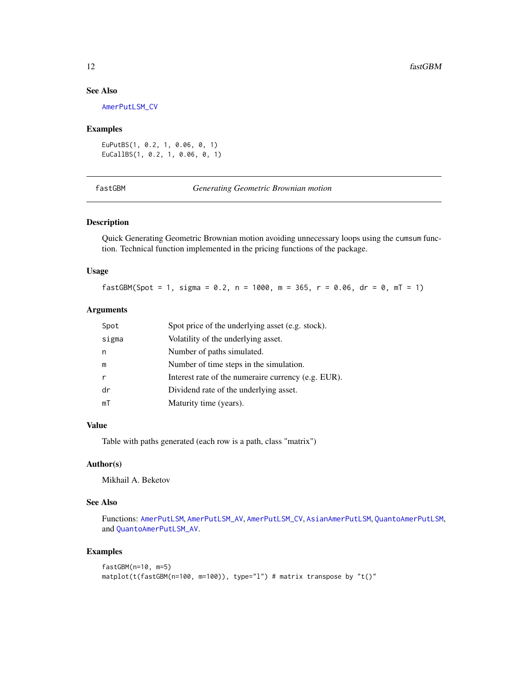## See Also

[AmerPutLSM\\_CV](#page-6-1)

#### Examples

```
EuPutBS(1, 0.2, 1, 0.06, 0, 1)
EuCallBS(1, 0.2, 1, 0.06, 0, 1)
```
fastGBM *Generating Geometric Brownian motion*

## Description

Quick Generating Geometric Brownian motion avoiding unnecessary loops using the cumsum function. Technical function implemented in the pricing functions of the package.

## Usage

fastGBM(Spot = 1, sigma = 0.2, n = 1000, m = 365, r = 0.06, dr = 0, mT = 1)

## Arguments

| Spot         | Spot price of the underlying asset (e.g. stock).    |
|--------------|-----------------------------------------------------|
| sigma        | Volatility of the underlying asset.                 |
| n            | Number of paths simulated.                          |
| m            | Number of time steps in the simulation.             |
| $\mathsf{r}$ | Interest rate of the numeraire currency (e.g. EUR). |
| dr           | Dividend rate of the underlying asset.              |
| mT           | Maturity time (years).                              |

#### Value

Table with paths generated (each row is a path, class "matrix")

## Author(s)

Mikhail A. Beketov

## See Also

Functions: [AmerPutLSM](#page-2-1), [AmerPutLSM\\_AV](#page-5-1), [AmerPutLSM\\_CV](#page-6-1), [AsianAmerPutLSM](#page-8-1), [QuantoAmerPutLSM](#page-13-1), and [QuantoAmerPutLSM\\_AV](#page-16-1).

```
fastGBM(n=10, m=5)
matplot(t(fastGBM(n=100, m=100)), type="l") # matrix transpose by "t()"
```
<span id="page-11-0"></span>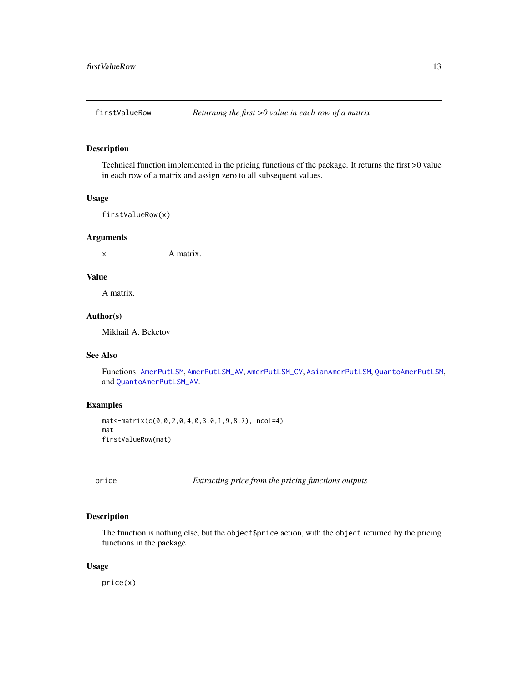<span id="page-12-0"></span>

## Description

Technical function implemented in the pricing functions of the package. It returns the first >0 value in each row of a matrix and assign zero to all subsequent values.

## Usage

firstValueRow(x)

## Arguments

x A matrix.

## Value

A matrix.

#### Author(s)

Mikhail A. Beketov

## See Also

Functions: [AmerPutLSM](#page-2-1), [AmerPutLSM\\_AV](#page-5-1), [AmerPutLSM\\_CV](#page-6-1), [AsianAmerPutLSM](#page-8-1), [QuantoAmerPutLSM](#page-13-1), and [QuantoAmerPutLSM\\_AV](#page-16-1).

#### Examples

```
mat<-matrix(c(0,0,2,0,4,0,3,0,1,9,8,7), ncol=4)
mat
firstValueRow(mat)
```
<span id="page-12-1"></span>price *Extracting price from the pricing functions outputs*

## Description

The function is nothing else, but the object \$price action, with the object returned by the pricing functions in the package.

#### Usage

price(x)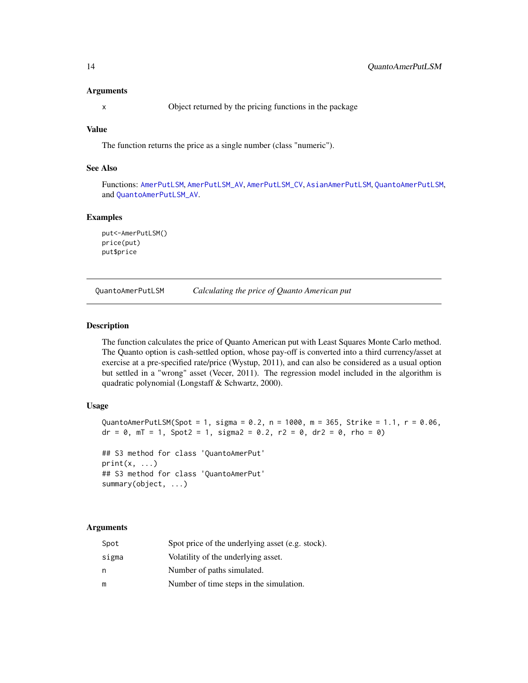#### <span id="page-13-0"></span>Arguments

x Object returned by the pricing functions in the package

## Value

The function returns the price as a single number (class "numeric").

## See Also

Functions: [AmerPutLSM](#page-2-1), [AmerPutLSM\\_AV](#page-5-1), [AmerPutLSM\\_CV](#page-6-1), [AsianAmerPutLSM](#page-8-1), [QuantoAmerPutLSM](#page-13-1), and [QuantoAmerPutLSM\\_AV](#page-16-1).

#### Examples

```
put<-AmerPutLSM()
price(put)
put$price
```
<span id="page-13-1"></span>QuantoAmerPutLSM *Calculating the price of Quanto American put*

#### Description

The function calculates the price of Quanto American put with Least Squares Monte Carlo method. The Quanto option is cash-settled option, whose pay-off is converted into a third currency/asset at exercise at a pre-specified rate/price (Wystup, 2011), and can also be considered as a usual option but settled in a "wrong" asset (Vecer, 2011). The regression model included in the algorithm is quadratic polynomial (Longstaff & Schwartz, 2000).

#### Usage

```
QuantoAmerPutLSM(Spot = 1, sigma = 0.2, n = 1000, m = 365, Strike = 1.1, r = 0.06,
dr = 0, mT = 1, Spot2 = 1, signa2 = 0.2, r2 = 0, dr2 = 0, rho = 0)
## S3 method for class 'QuantoAmerPut'
print(x, \ldots)## S3 method for class 'QuantoAmerPut'
summary(object, ...)
```

| Spot  | Spot price of the underlying asset (e.g. stock). |
|-------|--------------------------------------------------|
| sigma | Volatility of the underlying asset.              |
| n     | Number of paths simulated.                       |
| m     | Number of time steps in the simulation.          |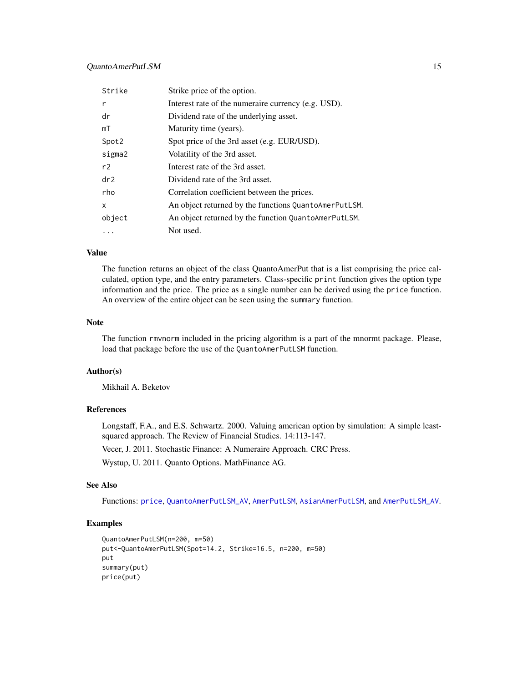## <span id="page-14-0"></span>QuantoAmerPutLSM 15

| Strike            | Strike price of the option.                           |
|-------------------|-------------------------------------------------------|
| r                 | Interest rate of the numeraire currency (e.g. USD).   |
| dr                | Dividend rate of the underlying asset.                |
| mT                | Maturity time (years).                                |
| Spot <sub>2</sub> | Spot price of the 3rd asset (e.g. EUR/USD).           |
| sigma2            | Volatility of the 3rd asset.                          |
| r2                | Interest rate of the 3rd asset.                       |
| dr <sub>2</sub>   | Dividend rate of the 3rd asset.                       |
| rho               | Correlation coefficient between the prices.           |
| X                 | An object returned by the functions QuantoAmerPutLSM. |
| object            | An object returned by the function QuantoAmerPutLSM.  |
| .                 | Not used.                                             |

#### Value

The function returns an object of the class QuantoAmerPut that is a list comprising the price calculated, option type, and the entry parameters. Class-specific print function gives the option type information and the price. The price as a single number can be derived using the price function. An overview of the entire object can be seen using the summary function.

#### Note

The function rmvnorm included in the pricing algorithm is a part of the mnormt package. Please, load that package before the use of the QuantoAmerPutLSM function.

#### Author(s)

Mikhail A. Beketov

#### References

Longstaff, F.A., and E.S. Schwartz. 2000. Valuing american option by simulation: A simple leastsquared approach. The Review of Financial Studies. 14:113-147.

Vecer, J. 2011. Stochastic Finance: A Numeraire Approach. CRC Press.

Wystup, U. 2011. Quanto Options. MathFinance AG.

#### See Also

Functions: [price](#page-12-1), [QuantoAmerPutLSM\\_AV](#page-16-1), [AmerPutLSM](#page-2-1), [AsianAmerPutLSM](#page-8-1), and [AmerPutLSM\\_AV](#page-5-1).

```
QuantoAmerPutLSM(n=200, m=50)
put<-QuantoAmerPutLSM(Spot=14.2, Strike=16.5, n=200, m=50)
put
summary(put)
price(put)
```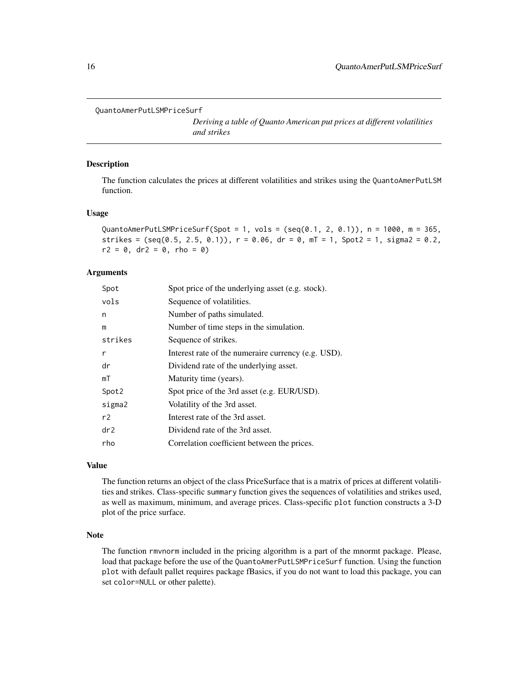```
QuantoAmerPutLSMPriceSurf
```
*Deriving a table of Quanto American put prices at different volatilities and strikes*

#### Description

The function calculates the prices at different volatilities and strikes using the QuantoAmerPutLSM function.

#### Usage

QuantoAmerPutLSMPriceSurf(Spot = 1, vols = (seq(0.1, 2, 0.1)),  $n = 1000$ ,  $m = 365$ , strikes =  $(\text{seq}(0.5, 2.5, 0.1))$ ,  $r = 0.06$ ,  $dr = 0$ ,  $mT = 1$ ,  $Spot2 = 1$ ,  $sigma2 = 0.2$ ,  $r2 = 0$ , dr2 = 0, rho = 0)

#### **Arguments**

| Spot            | Spot price of the underlying asset (e.g. stock).    |
|-----------------|-----------------------------------------------------|
| vols            | Sequence of volatilities.                           |
| n               | Number of paths simulated.                          |
| m               | Number of time steps in the simulation.             |
| strikes         | Sequence of strikes.                                |
| $\mathsf{r}$    | Interest rate of the numeraire currency (e.g. USD). |
| dr              | Dividend rate of the underlying asset.              |
| mT              | Maturity time (years).                              |
| Spot2           | Spot price of the 3rd asset (e.g. EUR/USD).         |
| sigma2          | Volatility of the 3rd asset.                        |
| r <sub>2</sub>  | Interest rate of the 3rd asset.                     |
| dr <sub>2</sub> | Dividend rate of the 3rd asset.                     |
| rho             | Correlation coefficient between the prices.         |
|                 |                                                     |

## Value

The function returns an object of the class PriceSurface that is a matrix of prices at different volatilities and strikes. Class-specific summary function gives the sequences of volatilities and strikes used, as well as maximum, minimum, and average prices. Class-specific plot function constructs a 3-D plot of the price surface.

#### Note

The function rmvnorm included in the pricing algorithm is a part of the mnormt package. Please, load that package before the use of the QuantoAmerPutLSMPriceSurf function. Using the function plot with default pallet requires package fBasics, if you do not want to load this package, you can set color=NULL or other palette).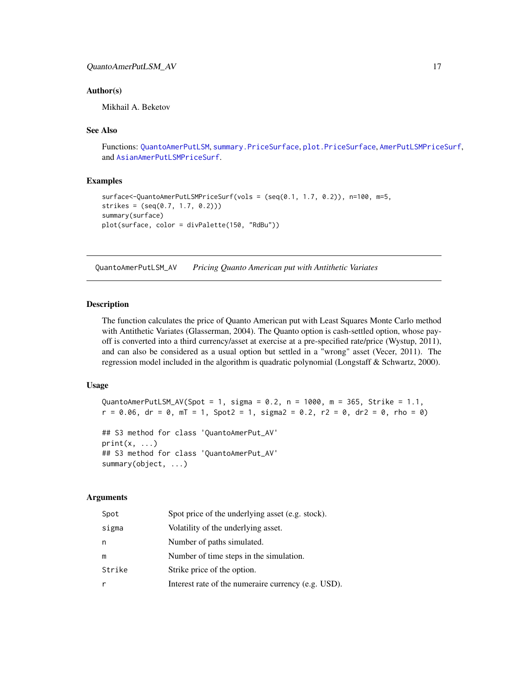## <span id="page-16-0"></span>QuantoAmerPutLSM\_AV 17

#### Author(s)

Mikhail A. Beketov

#### See Also

Functions: [QuantoAmerPutLSM](#page-13-1), [summary.PriceSurface](#page-3-1), [plot.PriceSurface](#page-3-1), [AmerPutLSMPriceSurf](#page-3-2), and [AsianAmerPutLSMPriceSurf](#page-9-1).

## Examples

```
surface<-QuantoAmerPutLSMPriceSurf(vols = (seq(0.1, 1.7, 0.2)), n=100, m=5,
strikes = (\text{seq}(0.7, 1.7, 0.2)))summary(surface)
plot(surface, color = divPalette(150, "RdBu"))
```
<span id="page-16-1"></span>QuantoAmerPutLSM\_AV *Pricing Quanto American put with Antithetic Variates*

#### **Description**

The function calculates the price of Quanto American put with Least Squares Monte Carlo method with Antithetic Variates (Glasserman, 2004). The Quanto option is cash-settled option, whose payoff is converted into a third currency/asset at exercise at a pre-specified rate/price (Wystup, 2011), and can also be considered as a usual option but settled in a "wrong" asset (Vecer, 2011). The regression model included in the algorithm is quadratic polynomial (Longstaff & Schwartz, 2000).

## Usage

```
QuantoAmerPutLSM_AV(Spot = 1, sigma = 0.2, n = 1000, m = 365, Strike = 1.1,
r = 0.06, dr = 0, mT = 1, Spot2 = 1, signa2 = 0.2, r2 = 0, dr2 = 0, rho = 0)
```

```
## S3 method for class 'QuantoAmerPut_AV'
print(x, \ldots)## S3 method for class 'QuantoAmerPut_AV'
summary(object, ...)
```

| Spot   | Spot price of the underlying asset (e.g. stock).    |
|--------|-----------------------------------------------------|
| sigma  | Volatility of the underlying asset.                 |
| n      | Number of paths simulated.                          |
| m      | Number of time steps in the simulation.             |
| Strike | Strike price of the option.                         |
| r      | Interest rate of the numeraire currency (e.g. USD). |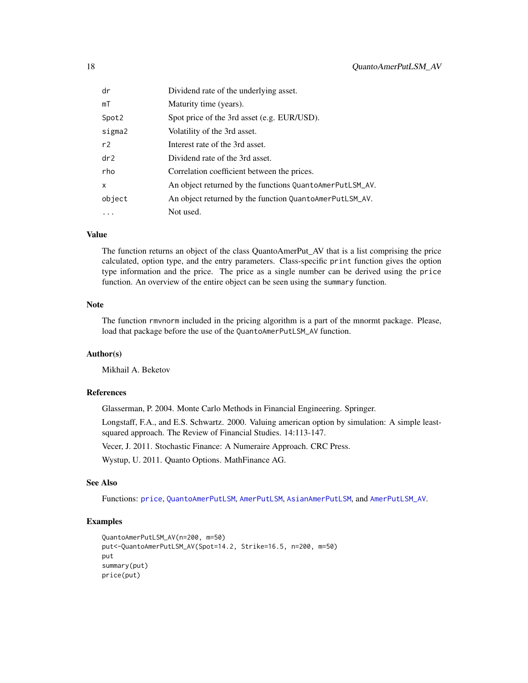<span id="page-17-0"></span>

| dr              | Dividend rate of the underlying asset.                   |
|-----------------|----------------------------------------------------------|
| mT              | Maturity time (years).                                   |
| Spot2           | Spot price of the 3rd asset (e.g. EUR/USD).              |
| sigma2          | Volatility of the 3rd asset.                             |
| r2              | Interest rate of the 3rd asset.                          |
| dr <sub>2</sub> | Dividend rate of the 3rd asset.                          |
| rho             | Correlation coefficient between the prices.              |
| X               | An object returned by the functions QuantoAmerPutLSM_AV. |
| object          | An object returned by the function QuantoAmerPutLSM_AV.  |
| .               | Not used.                                                |

## Value

The function returns an object of the class QuantoAmerPut\_AV that is a list comprising the price calculated, option type, and the entry parameters. Class-specific print function gives the option type information and the price. The price as a single number can be derived using the price function. An overview of the entire object can be seen using the summary function.

#### Note

The function rmvnorm included in the pricing algorithm is a part of the mnormt package. Please, load that package before the use of the QuantoAmerPutLSM\_AV function.

## Author(s)

Mikhail A. Beketov

### References

Glasserman, P. 2004. Monte Carlo Methods in Financial Engineering. Springer.

Longstaff, F.A., and E.S. Schwartz. 2000. Valuing american option by simulation: A simple leastsquared approach. The Review of Financial Studies. 14:113-147.

Vecer, J. 2011. Stochastic Finance: A Numeraire Approach. CRC Press.

Wystup, U. 2011. Quanto Options. MathFinance AG.

## See Also

Functions: [price](#page-12-1), [QuantoAmerPutLSM](#page-13-1), [AmerPutLSM](#page-2-1), [AsianAmerPutLSM](#page-8-1), and [AmerPutLSM\\_AV](#page-5-1).

```
QuantoAmerPutLSM_AV(n=200, m=50)
put<-QuantoAmerPutLSM_AV(Spot=14.2, Strike=16.5, n=200, m=50)
put
summary(put)
price(put)
```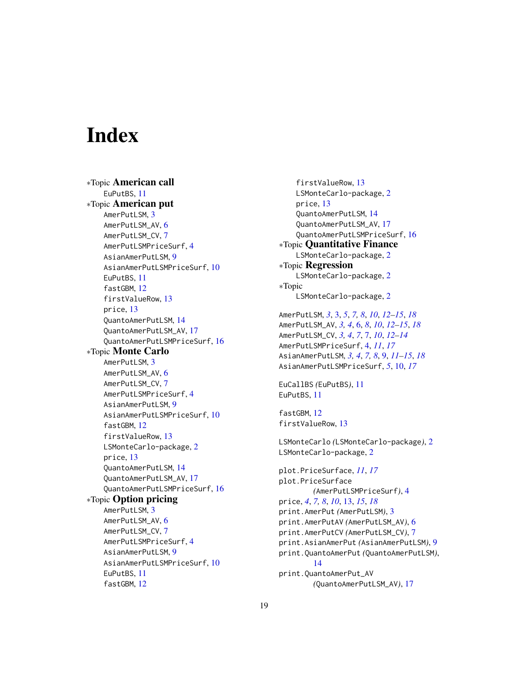# <span id="page-18-0"></span>**Index**

∗Topic American call EuPutBS, [11](#page-10-0) ∗Topic American put AmerPutLSM, [3](#page-2-0) AmerPutLSM\_AV, [6](#page-5-0) AmerPutLSM\_CV, [7](#page-6-0) AmerPutLSMPriceSurf, [4](#page-3-0) AsianAmerPutLSM, [9](#page-8-0) AsianAmerPutLSMPriceSurf, [10](#page-9-0) EuPutBS, [11](#page-10-0) fastGBM, [12](#page-11-0) firstValueRow, [13](#page-12-0) price, [13](#page-12-0) QuantoAmerPutLSM, [14](#page-13-0) QuantoAmerPutLSM\_AV, [17](#page-16-0) QuantoAmerPutLSMPriceSurf, [16](#page-15-0) ∗Topic Monte Carlo AmerPutLSM, [3](#page-2-0) AmerPutLSM\_AV, [6](#page-5-0) AmerPutLSM\_CV, [7](#page-6-0) AmerPutLSMPriceSurf, [4](#page-3-0) AsianAmerPutLSM, [9](#page-8-0) AsianAmerPutLSMPriceSurf, [10](#page-9-0) fastGBM, [12](#page-11-0) firstValueRow, [13](#page-12-0) LSMonteCarlo-package, [2](#page-1-0) price, [13](#page-12-0) QuantoAmerPutLSM, [14](#page-13-0) QuantoAmerPutLSM\_AV, [17](#page-16-0) QuantoAmerPutLSMPriceSurf, [16](#page-15-0) ∗Topic Option pricing AmerPutLSM, [3](#page-2-0) AmerPutLSM\_AV, [6](#page-5-0) AmerPutLSM\_CV, [7](#page-6-0) AmerPutLSMPriceSurf, [4](#page-3-0) AsianAmerPutLSM, [9](#page-8-0) AsianAmerPutLSMPriceSurf, [10](#page-9-0) EuPutBS, [11](#page-10-0) fastGBM, [12](#page-11-0)

firstValueRow, [13](#page-12-0) LSMonteCarlo-package, [2](#page-1-0) price, [13](#page-12-0) QuantoAmerPutLSM, [14](#page-13-0) QuantoAmerPutLSM\_AV, [17](#page-16-0) QuantoAmerPutLSMPriceSurf, [16](#page-15-0) ∗Topic Quantitative Finance LSMonteCarlo-package, [2](#page-1-0) ∗Topic Regression LSMonteCarlo-package, [2](#page-1-0) ∗Topic LSMonteCarlo-package, [2](#page-1-0)

```
AmerPutLSM, 3, 3, 5, 7, 8, 10, 12–15, 18
AmerPutLSM_AV, 3, 4, 6, 8, 10, 12–15, 18
AmerPutLSM_CV, 3, 4, 7, 7, 10, 12–14
AmerPutLSMPriceSurf, 4, 11, 17
AsianAmerPutLSM, 3, 4, 7, 8, 9, 11–15, 18
AsianAmerPutLSMPriceSurf, 5, 10, 17
```

```
EuCallBS (EuPutBS), 11
EuPutBS, 11
```

```
fastGBM, 12
firstValueRow, 13
```

```
LSMonteCarlo (LSMonteCarlo-package), 2
LSMonteCarlo-package, 2
```

```
plot.PriceSurface, 11, 17
plot.PriceSurface
        (AmerPutLSMPriceSurf), 4
price, 4, 7, 8, 10, 13, 15, 18
print.AmerPut (AmerPutLSM), 3
print.AmerPutAV (AmerPutLSM_AV), 6
print.AmerPutCV (AmerPutLSM_CV), 7
print.AsianAmerPut (AsianAmerPutLSM), 9
print.QuantoAmerPut (QuantoAmerPutLSM),
        14
print.QuantoAmerPut_AV
        (QuantoAmerPutLSM_AV), 17
```